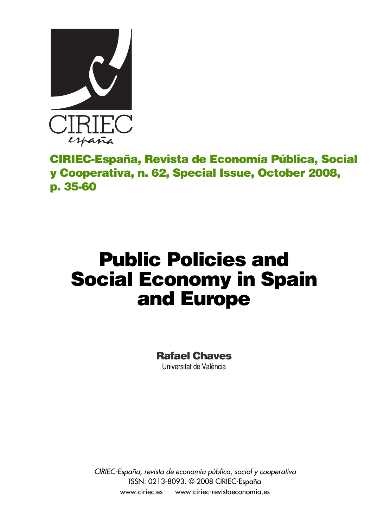

**CIRIEC-España, Revista de Economía Pública, Social y Cooperativa, n. 62, Special Issue, October 2008, p. 35-60**

# **Public Policies and Social Economy in Spain and Europe**

**Rafael Chaves**  Universitat de València

*CIRIEC-España, revista de economía pública, social y cooperativa* ISSN: 0213-8093. © 2008 CIRIEC-España www.ciriec.es www.ciriec-revistaeconomia.es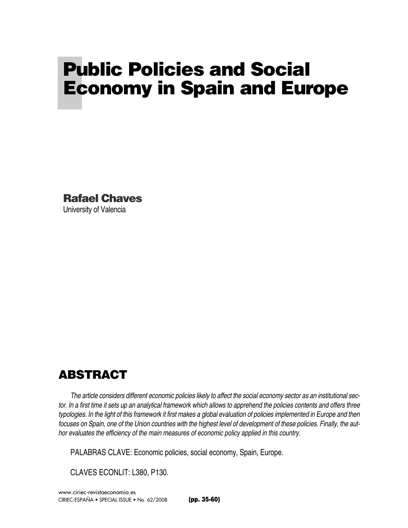# **Public Policies and Social Economy in Spain and Europe**

**Rafael Chaves**  University of Valencia

# **ABSTRACT**

*The article considers different economic policies likely to affect the social economy sector as an institutional sector. In a first time it sets up an analytical framework which allows to apprehend the policies contents and offers three typologies. In the light of this framework it first makes a global evaluation of policies implemented in Europe and then focuses on Spain, one of the Union countries with the highest level of development of these policies. Finally, the author evaluates the efficiency of the main measures of economic policy applied in this country.* 

PALABRAS CLAVE: Economic policies, social economy, Spain, Europe.

CLAVES ECONLIT: L380, P130.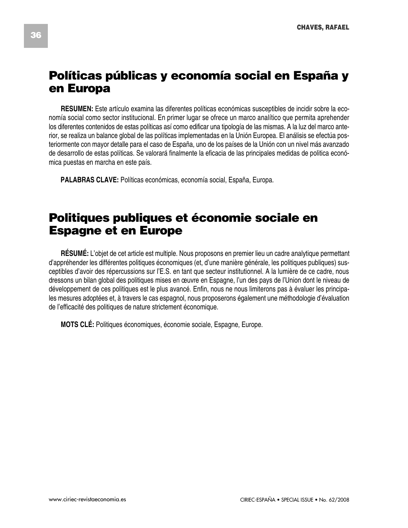# **Políticas públicas y economía social en España y en Europa**

**RESUMEN:** Este artículo examina las diferentes políticas económicas susceptibles de incidir sobre la economía social como sector institucional. En primer lugar se ofrece un marco analítico que permita aprehender los diferentes contenidos de estas políticas así como edificar una tipología de las mismas. A la luz del marco anterior, se realiza un balance global de las políticas implementadas en la Unión Europea. El análisis se efectúa posteriormente con mayor detalle para el caso de España, uno de los países de la Unión con un nivel más avanzado de desarrollo de estas políticas. Se valorará finalmente la eficacia de las principales medidas de politica económica puestas en marcha en este país.

**PALABRAS CLAVE:** Políticas económicas, economía social, España, Europa.

# **Politiques publiques et économie sociale en Espagne et en Europe**

**RÉSUMÉ:** L'objet de cet article est multiple. Nous proposons en premier lieu un cadre analytique permettant d'appréhender les différentes politiques économiques (et, d'une manière générale, les politiques publiques) susceptibles d'avoir des répercussions sur l'E.S. en tant que secteur institutionnel. A la lumière de ce cadre, nous dressons un bilan global des politiques mises en œuvre en Espagne, l'un des pays de l'Union dont le niveau de développement de ces politiques est le plus avancé. Enfin, nous ne nous limiterons pas à évaluer les principales mesures adoptées et, à travers le cas espagnol, nous proposerons également une méthodologie d'évaluation de l'efficacité des politiques de nature strictement économique.

**MOTS CLÉ:** Politiques économiques, économie sociale, Espagne, Europe.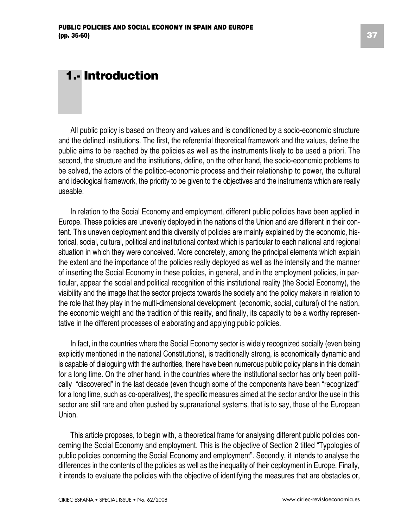# **1.- Introduction**

All public policy is based on theory and values and is conditioned by a socio-economic structure and the defined institutions. The first, the referential theoretical framework and the values, define the public aims to be reached by the policies as well as the instruments likely to be used a priori. The second, the structure and the institutions, define, on the other hand, the socio-economic problems to be solved, the actors of the politico-economic process and their relationship to power, the cultural and ideological framework, the priority to be given to the objectives and the instruments which are really useable.

In relation to the Social Economy and employment, different public policies have been applied in Europe. These policies are unevenly deployed in the nations of the Union and are different in their content. This uneven deployment and this diversity of policies are mainly explained by the economic, historical, social, cultural, political and institutional context which is particular to each national and regional situation in which they were conceived. More concretely, among the principal elements which explain the extent and the importance of the policies really deployed as well as the intensity and the manner of inserting the Social Economy in these policies, in general, and in the employment policies, in particular, appear the social and political recognition of this institutional reality (the Social Economy), the visibility and the image that the sector projects towards the society and the policy makers in relation to the role that they play in the multi-dimensional development (economic, social, cultural) of the nation, the economic weight and the tradition of this reality, and finally, its capacity to be a worthy representative in the different processes of elaborating and applying public policies.

In fact, in the countries where the Social Economy sector is widely recognized socially (even being explicitly mentioned in the national Constitutions), is traditionally strong, is economically dynamic and is capable of dialoguing with the authorities, there have been numerous public policy plans in this domain for a long time. On the other hand, in the countries where the institutional sector has only been politically "discovered" in the last decade (even though some of the components have been "recognized" for a long time, such as co-operatives), the specific measures aimed at the sector and/or the use in this sector are still rare and often pushed by supranational systems, that is to say, those of the European Union.

This article proposes, to begin with, a theoretical frame for analysing different public policies concerning the Social Economy and employment. This is the objective of Section 2 titled "Typologies of public policies concerning the Social Economy and employment". Secondly, it intends to analyse the differences in the contents of the policies as well as the inequality of their deployment in Europe. Finally, it intends to evaluate the policies with the objective of identifying the measures that are obstacles or,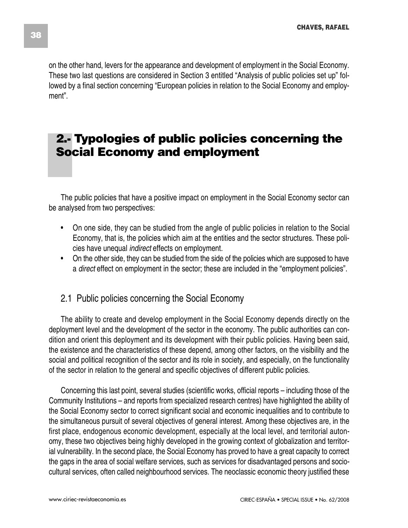on the other hand, levers for the appearance and development of employment in the Social Economy. These two last questions are considered in Section 3 entitled "Analysis of public policies set up" followed by a final section concerning "European policies in relation to the Social Economy and employment".

# **2.- Typologies of public policies concerning the Social Economy and employment**

The public policies that have a positive impact on employment in the Social Economy sector can be analysed from two perspectives:

- On one side, they can be studied from the angle of public policies in relation to the Social Economy, that is, the policies which aim at the entities and the sector structures. These policies have unequal *indirect* effects on employment.
- On the other side, they can be studied from the side of the policies which are supposed to have a *direct* effect on employment in the sector; these are included in the "employment policies".

### 2.1 Public policies concerning the Social Economy

The ability to create and develop employment in the Social Economy depends directly on the deployment level and the development of the sector in the economy. The public authorities can condition and orient this deployment and its development with their public policies. Having been said, the existence and the characteristics of these depend, among other factors, on the visibility and the social and political recognition of the sector and its role in society, and especially, on the functionality of the sector in relation to the general and specific objectives of different public policies.

Concerning this last point, several studies (scientific works, official reports – including those of the Community Institutions – and reports from specialized research centres) have highlighted the ability of the Social Economy sector to correct significant social and economic inequalities and to contribute to the simultaneous pursuit of several objectives of general interest. Among these objectives are, in the first place, endogenous economic development, especially at the local level, and territorial autonomy, these two objectives being highly developed in the growing context of globalization and territorial vulnerability. In the second place, the Social Economy has proved to have a great capacity to correct the gaps in the area of social welfare services, such as services for disadvantaged persons and sociocultural services, often called neighbourhood services. The neoclassic economic theory justified these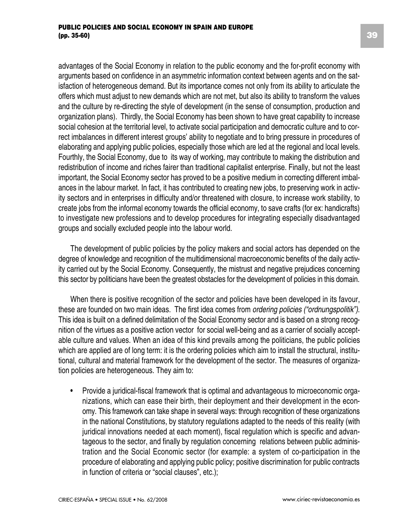advantages of the Social Economy in relation to the public economy and the for-profit economy with arguments based on confidence in an asymmetric information context between agents and on the satisfaction of heterogeneous demand. But its importance comes not only from its ability to articulate the offers which must adjust to new demands which are not met, but also its ability to transform the values and the culture by re-directing the style of development (in the sense of consumption, production and organization plans). Thirdly, the Social Economy has been shown to have great capability to increase social cohesion at the territorial level, to activate social participation and democratic culture and to correct imbalances in different interest groups' ability to negotiate and to bring pressure in procedures of elaborating and applying public policies, especially those which are led at the regional and local levels. Fourthly, the Social Economy, due to its way of working, may contribute to making the distribution and redistribution of income and riches fairer than traditional capitalist enterprise. Finally, but not the least important, the Social Economy sector has proved to be a positive medium in correcting different imbalances in the labour market. In fact, it has contributed to creating new jobs, to preserving work in activity sectors and in enterprises in difficulty and/or threatened with closure, to increase work stability, to create jobs from the informal economy towards the official economy, to save crafts (for ex: handicrafts) to investigate new professions and to develop procedures for integrating especially disadvantaged groups and socially excluded people into the labour world.

The development of public policies by the policy makers and social actors has depended on the degree of knowledge and recognition of the multidimensional macroeconomic benefits of the daily activity carried out by the Social Economy. Consequently, the mistrust and negative prejudices concerning this sector by politicians have been the greatest obstacles for the development of policies in this domain.

When there is positive recognition of the sector and policies have been developed in its favour, these are founded on two main ideas. The first idea comes from *ordering policies ("ordnungspolitik")*. This idea is built on a defined delimitation of the Social Economy sector and is based on a strong recognition of the virtues as a positive action vector for social well-being and as a carrier of socially acceptable culture and values. When an idea of this kind prevails among the politicians, the public policies which are applied are of long term: it is the ordering policies which aim to install the structural, institutional, cultural and material framework for the development of the sector. The measures of organization policies are heterogeneous. They aim to:

• Provide a juridical-fiscal framework that is optimal and advantageous to microeconomic organizations, which can ease their birth, their deployment and their development in the economy. This framework can take shape in several ways: through recognition of these organizations in the national Constitutions, by statutory regulations adapted to the needs of this reality (with juridical innovations needed at each moment), fiscal regulation which is specific and advantageous to the sector, and finally by regulation concerning relations between public administration and the Social Economic sector (for example: a system of co-participation in the procedure of elaborating and applying public policy; positive discrimination for public contracts in function of criteria or "social clauses", etc.);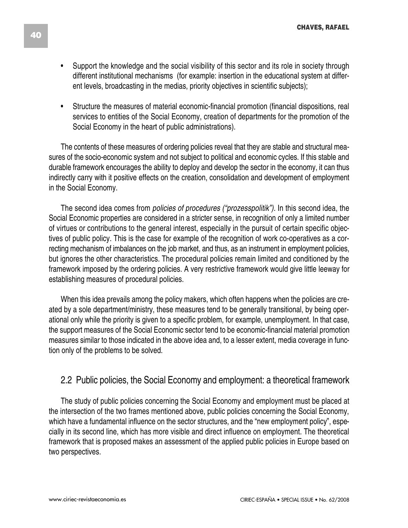- Support the knowledge and the social visibility of this sector and its role in society through different institutional mechanisms (for example: insertion in the educational system at different levels, broadcasting in the medias, priority objectives in scientific subjects);
- Structure the measures of material economic-financial promotion (financial dispositions, real services to entities of the Social Economy, creation of departments for the promotion of the Social Economy in the heart of public administrations).

The contents of these measures of ordering policies reveal that they are stable and structural measures of the socio-economic system and not subject to political and economic cycles. If this stable and durable framework encourages the ability to deploy and develop the sector in the economy, it can thus indirectly carry with it positive effects on the creation, consolidation and development of employment in the Social Economy.

The second idea comes from *policies of procedures ("prozesspolitik").* In this second idea, the Social Economic properties are considered in a stricter sense, in recognition of only a limited number of virtues or contributions to the general interest, especially in the pursuit of certain specific objectives of public policy. This is the case for example of the recognition of work co-operatives as a correcting mechanism of imbalances on the job market, and thus, as an instrument in employment policies, but ignores the other characteristics. The procedural policies remain limited and conditioned by the framework imposed by the ordering policies. A very restrictive framework would give little leeway for establishing measures of procedural policies.

When this idea prevails among the policy makers, which often happens when the policies are created by a sole department/ministry, these measures tend to be generally transitional, by being operational only while the priority is given to a specific problem, for example, unemployment. In that case, the support measures of the Social Economic sector tend to be economic-financial material promotion measures similar to those indicated in the above idea and, to a lesser extent, media coverage in function only of the problems to be solved.

### 2.2 Public policies, the Social Economy and employment: a theoretical framework

The study of public policies concerning the Social Economy and employment must be placed at the intersection of the two frames mentioned above, public policies concerning the Social Economy, which have a fundamental influence on the sector structures, and the "new employment policy", especially in its second line, which has more visible and direct influence on employment. The theoretical framework that is proposed makes an assessment of the applied public policies in Europe based on two perspectives.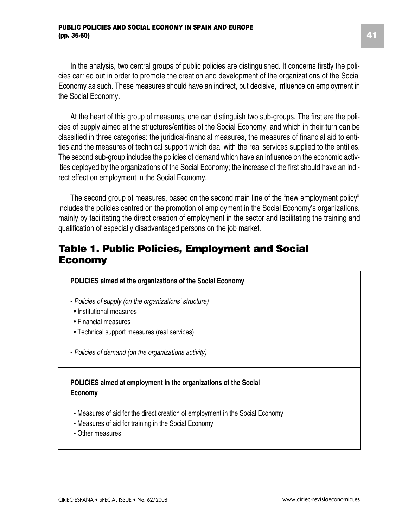In the analysis, two central groups of public policies are distinguished. It concerns firstly the policies carried out in order to promote the creation and development of the organizations of the Social Economy as such. These measures should have an indirect, but decisive, influence on employment in the Social Economy.

At the heart of this group of measures, one can distinguish two sub-groups. The first are the policies of supply aimed at the structures/entities of the Social Economy, and which in their turn can be classified in three categories: the juridical-financial measures, the measures of financial aid to entities and the measures of technical support which deal with the real services supplied to the entities. The second sub-group includes the policies of demand which have an influence on the economic activities deployed by the organizations of the Social Economy; the increase of the first should have an indirect effect on employment in the Social Economy.

The second group of measures, based on the second main line of the "new employment policy" includes the policies centred on the promotion of employment in the Social Economy's organizations, mainly by facilitating the direct creation of employment in the sector and facilitating the training and qualification of especially disadvantaged persons on the job market.

### **Table 1. Public Policies, Employment and Social Economy**

| POLICIES aimed at the organizations of the Social Economy                                                                                                  |
|------------------------------------------------------------------------------------------------------------------------------------------------------------|
| - Policies of supply (on the organizations' structure)<br>• Institutional measures<br>• Financial measures<br>• Technical support measures (real services) |
| - Policies of demand (on the organizations activity)                                                                                                       |
| POLICIES aimed at employment in the organizations of the Social<br>Economy                                                                                 |
| - Measures of aid for the direct creation of employment in the Social Economy<br>- Measures of aid for training in the Social Economy<br>- Other measures  |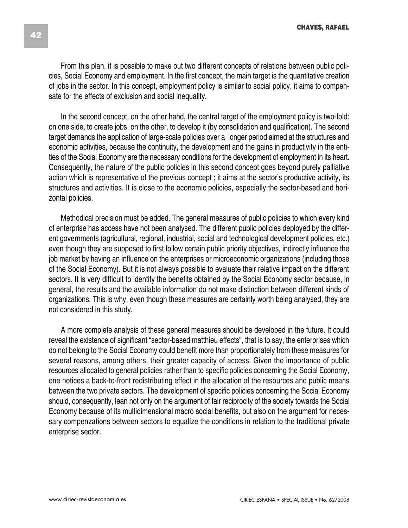From this plan, it is possible to make out two different concepts of relations between public policies, Social Economy and employment. In the first concept, the main target is the quantitative creation of jobs in the sector. In this concept, employment policy is similar to social policy, it aims to compensate for the effects of exclusion and social inequality.

In the second concept, on the other hand, the central target of the employment policy is two-fold: on one side, to create jobs, on the other, to develop it (by consolidation and qualification). The second target demands the application of large-scale policies over a longer period aimed at the structures and economic activities, because the continuity, the development and the gains in productivity in the entities of the Social Economy are the necessary conditions for the development of employment in its heart. Consequently, the nature of the public policies in this second concept goes beyond purely palliative action which is representative of the previous concept ; it aims at the sector's productive activity, its structures and activities. It is close to the economic policies, especially the sector-based and horizontal policies.

Methodical precision must be added. The general measures of public policies to which every kind of enterprise has access have not been analysed. The different public policies deployed by the different governments (agricultural, regional, industrial, social and technological development policies, etc.) even though they are supposed to first follow certain public priority objectives, indirectly influence the job market by having an influence on the enterprises or microeconomic organizations (including those of the Social Economy). But it is not always possible to evaluate their relative impact on the different sectors. It is very difficult to identify the benefits obtained by the Social Economy sector because, in general, the results and the available information do not make distinction between different kinds of organizations. This is why, even though these measures are certainly worth being analysed, they are not considered in this study.

A more complete analysis of these general measures should be developed in the future. It could reveal the existence of significant "sector-based matthieu effects", that is to say, the enterprises which do not belong to the Social Economy could benefit more than proportionately from these measures for several reasons, among others, their greater capacity of access. Given the importance of public resources allocated to general policies rather than to specific policies concerning the Social Economy, one notices a back-to-front redistributing effect in the allocation of the resources and public means between the two private sectors. The development of specific policies concerning the Social Economy should, consequently, lean not only on the argument of fair reciprocity of the society towards the Social Economy because of its multidimensional macro social benefits, but also on the argument for necessary compenzations between sectors to equalize the conditions in relation to the traditional private enterprise sector.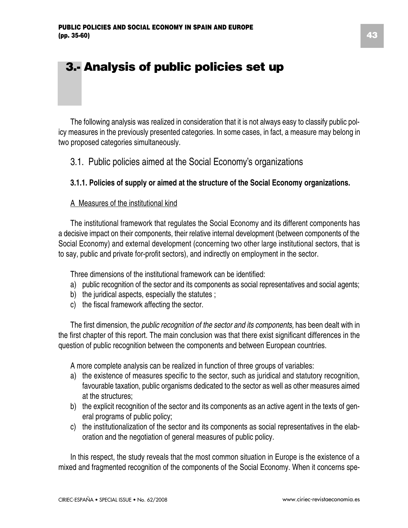# **3.- Analysis of public policies set up**

The following analysis was realized in consideration that it is not always easy to classify public policy measures in the previously presented categories. In some cases, in fact, a measure may belong in two proposed categories simultaneously.

### 3.1. Public policies aimed at the Social Economy's organizations

#### **3.1.1. Policies of supply or aimed at the structure of the Social Economy organizations.**

#### A Measures of the institutional kind

The institutional framework that regulates the Social Economy and its different components has a decisive impact on their components, their relative internal development (between components of the Social Economy) and external development (concerning two other large institutional sectors, that is to say, public and private for-profit sectors), and indirectly on employment in the sector.

Three dimensions of the institutional framework can be identified:

- a) public recognition of the sector and its components as social representatives and social agents;
- b) the juridical aspects, especially the statutes;
- c) the fiscal framework affecting the sector.

The first dimension, the *public recognition of the sector and its components,* has been dealt with in the first chapter of this report. The main conclusion was that there exist significant differences in the question of public recognition between the components and between European countries.

A more complete analysis can be realized in function of three groups of variables:

- a) the existence of measures specific to the sector, such as juridical and statutory recognition, favourable taxation, public organisms dedicated to the sector as well as other measures aimed at the structures;
- b) the explicit recognition of the sector and its components as an active agent in the texts of general programs of public policy;
- c) the institutionalization of the sector and its components as social representatives in the elaboration and the negotiation of general measures of public policy.

In this respect, the study reveals that the most common situation in Europe is the existence of a mixed and fragmented recognition of the components of the Social Economy. When it concerns spe-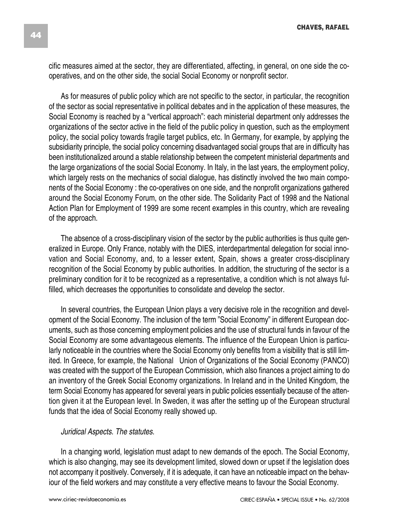cific measures aimed at the sector, they are differentiated, affecting, in general, on one side the cooperatives, and on the other side, the social Social Economy or nonprofit sector.

As for measures of public policy which are not specific to the sector, in particular, the recognition of the sector as social representative in political debates and in the application of these measures, the Social Economy is reached by a "vertical approach": each ministerial department only addresses the organizations of the sector active in the field of the public policy in question, such as the employment policy, the social policy towards fragile target publics, etc. In Germany, for example, by applying the subsidiarity principle, the social policy concerning disadvantaged social groups that are in difficulty has been institutionalized around a stable relationship between the competent ministerial departments and the large organizations of the social Social Economy. In Italy, in the last years, the employment policy, which largely rests on the mechanics of social dialogue, has distinctly involved the two main components of the Social Economy : the co-operatives on one side, and the nonprofit organizations gathered around the Social Economy Forum, on the other side. The Solidarity Pact of 1998 and the National Action Plan for Employment of 1999 are some recent examples in this country, which are revealing of the approach.

The absence of a cross-disciplinary vision of the sector by the public authorities is thus quite generalized in Europe. Only France, notably with the DIES, interdepartmental delegation for social innovation and Social Economy, and, to a lesser extent, Spain, shows a greater cross-disciplinary recognition of the Social Economy by public authorities. In addition, the structuring of the sector is a preliminary condition for it to be recognized as a representative, a condition which is not always fulfilled, which decreases the opportunities to consolidate and develop the sector.

In several countries, the European Union plays a very decisive role in the recognition and development of the Social Economy. The inclusion of the term "Social Economy" in different European documents, such as those concerning employment policies and the use of structural funds in favour of the Social Economy are some advantageous elements. The influence of the European Union is particularly noticeable in the countries where the Social Economy only benefits from a visibility that is still limited. In Greece, for example, the National Union of Organizations of the Social Economy (PANCO) was created with the support of the European Commission, which also finances a project aiming to do an inventory of the Greek Social Economy organizations. In Ireland and in the United Kingdom, the term Social Economy has appeared for several years in public policies essentially because of the attention given it at the European level. In Sweden, it was after the setting up of the European structural funds that the idea of Social Economy really showed up.

#### *Juridical Aspects. The statutes*.

In a changing world, legislation must adapt to new demands of the epoch. The Social Economy, which is also changing, may see its development limited, slowed down or upset if the legislation does not accompany it positively. Conversely, if it is adequate, it can have an noticeable impact on the behaviour of the field workers and may constitute a very effective means to favour the Social Economy.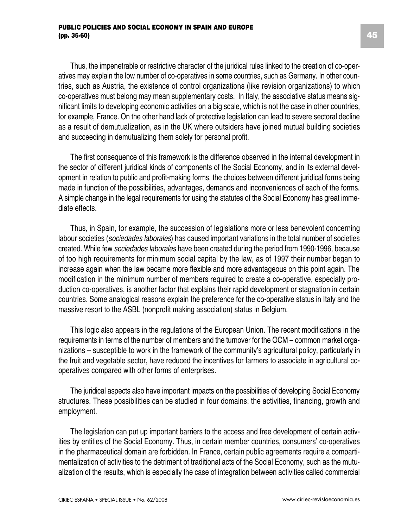Thus, the impenetrable or restrictive character of the juridical rules linked to the creation of co-operatives may explain the low number of co-operatives in some countries, such as Germany. In other countries, such as Austria, the existence of control organizations (like revision organizations) to which co-operatives must belong may mean supplementary costs. In Italy, the associative status means significant limits to developing economic activities on a big scale, which is not the case in other countries, for example, France. On the other hand lack of protective legislation can lead to severe sectoral decline as a result of demutualization, as in the UK where outsiders have joined mutual building societies and succeeding in demutualizing them solely for personal profit.

The first consequence of this framework is the difference observed in the internal development in the sector of different juridical kinds of components of the Social Economy, and in its external development in relation to public and profit-making forms, the choices between different juridical forms being made in function of the possibilities, advantages, demands and inconveniences of each of the forms. A simple change in the legal requirements for using the statutes of the Social Economy has great immediate effects.

Thus, in Spain, for example, the succession of legislations more or less benevolent concerning labour societies (*sociedades laborales*) has caused important variations in the total number of societies created. While few *sociedades laborales* have been created during the period from 1990-1996, because of too high requirements for minimum social capital by the law, as of 1997 their number began to increase again when the law became more flexible and more advantageous on this point again. The modification in the minimum number of members required to create a co-operative, especially production co-operatives, is another factor that explains their rapid development or stagnation in certain countries. Some analogical reasons explain the preference for the co-operative status in Italy and the massive resort to the ASBL (nonprofit making association) status in Belgium.

This logic also appears in the regulations of the European Union. The recent modifications in the requirements in terms of the number of members and the turnover for the OCM – common market organizations – susceptible to work in the framework of the community's agricultural policy, particularly in the fruit and vegetable sector, have reduced the incentives for farmers to associate in agricultural cooperatives compared with other forms of enterprises.

The juridical aspects also have important impacts on the possibilities of developing Social Economy structures. These possibilities can be studied in four domains: the activities, financing, growth and employment.

The legislation can put up important barriers to the access and free development of certain activities by entities of the Social Economy. Thus, in certain member countries, consumers' co-operatives in the pharmaceutical domain are forbidden. In France, certain public agreements require a compartimentalization of activities to the detriment of traditional acts of the Social Economy, such as the mutualization of the results, which is especially the case of integration between activities called commercial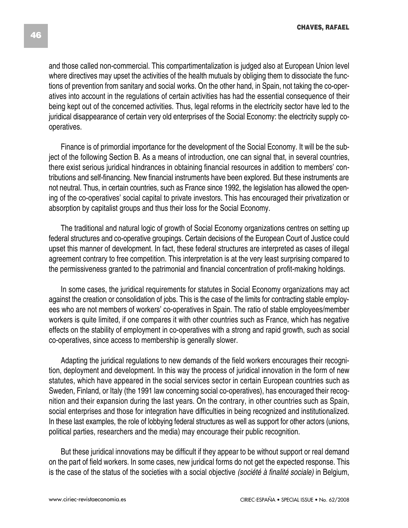and those called non-commercial. This compartimentalization is judged also at European Union level where directives may upset the activities of the health mutuals by obliging them to dissociate the functions of prevention from sanitary and social works. On the other hand, in Spain, not taking the co-operatives into account in the regulations of certain activities has had the essential consequence of their being kept out of the concerned activities. Thus, legal reforms in the electricity sector have led to the juridical disappearance of certain very old enterprises of the Social Economy: the electricity supply cooperatives.

Finance is of primordial importance for the development of the Social Economy. It will be the subject of the following Section B. As a means of introduction, one can signal that, in several countries, there exist serious juridical hindrances in obtaining financial resources in addition to members' contributions and self-financing. New financial instruments have been explored. But these instruments are not neutral. Thus, in certain countries, such as France since 1992, the legislation has allowed the opening of the co-operatives' social capital to private investors. This has encouraged their privatization or absorption by capitalist groups and thus their loss for the Social Economy.

The traditional and natural logic of growth of Social Economy organizations centres on setting up federal structures and co-operative groupings. Certain decisions of the European Court of Justice could upset this manner of development. In fact, these federal structures are interpreted as cases of illegal agreement contrary to free competition. This interpretation is at the very least surprising compared to the permissiveness granted to the patrimonial and financial concentration of profit-making holdings.

In some cases, the juridical requirements for statutes in Social Economy organizations may act against the creation or consolidation of jobs. This is the case of the limits for contracting stable employees who are not members of workers' co-operatives in Spain. The ratio of stable employees/member workers is quite limited, if one compares it with other countries such as France, which has negative effects on the stability of employment in co-operatives with a strong and rapid growth, such as social co-operatives, since access to membership is generally slower.

Adapting the juridical regulations to new demands of the field workers encourages their recognition, deployment and development. In this way the process of juridical innovation in the form of new statutes, which have appeared in the social services sector in certain European countries such as Sweden, Finland, or Italy (the 1991 law concerning social co-operatives), has encouraged their recognition and their expansion during the last years. On the contrary, in other countries such as Spain, social enterprises and those for integration have difficulties in being recognized and institutionalized. In these last examples, the role of lobbying federal structures as well as support for other actors (unions, political parties, researchers and the media) may encourage their public recognition.

But these juridical innovations may be difficult if they appear to be without support or real demand on the part of field workers. In some cases, new juridical forms do not get the expected response. This is the case of the status of the societies with a social objective *(société à finalité sociale)* in Belgium,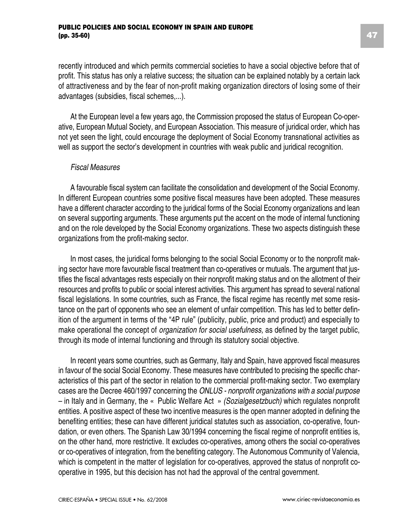#### **PUBLIC POLICIES AND SOCIAL ECONOMY IN SPAIN AND EUROPE (pp. 35-60)**

recently introduced and which permits commercial societies to have a social objective before that of profit. This status has only a relative success; the situation can be explained notably by a certain lack of attractiveness and by the fear of non-profit making organization directors of losing some of their advantages (subsidies, fiscal schemes,...).

At the European level a few years ago, the Commission proposed the status of European Co-operative, European Mutual Society, and European Association. This measure of juridical order, which has not yet seen the light, could encourage the deployment of Social Economy transnational activities as well as support the sector's development in countries with weak public and juridical recognition.

#### *Fiscal Measures*

A favourable fiscal system can facilitate the consolidation and development of the Social Economy. In different European countries some positive fiscal measures have been adopted. These measures have a different character according to the juridical forms of the Social Economy organizations and lean on several supporting arguments. These arguments put the accent on the mode of internal functioning and on the role developed by the Social Economy organizations. These two aspects distinguish these organizations from the profit-making sector.

In most cases, the juridical forms belonging to the social Social Economy or to the nonprofit making sector have more favourable fiscal treatment than co-operatives or mutuals. The argument that justifies the fiscal advantages rests especially on their nonprofit making status and on the allotment of their resources and profits to public or social interest activities. This argument has spread to several national fiscal legislations. In some countries, such as France, the fiscal regime has recently met some resistance on the part of opponents who see an element of unfair competition. This has led to better definition of the argument in terms of the "4P rule" (publicity, public, price and product) and especially to make operational the concept of *organization for social usefulness,* as defined by the target public, through its mode of internal functioning and through its statutory social objective.

In recent years some countries, such as Germany, Italy and Spain, have approved fiscal measures in favour of the social Social Economy. These measures have contributed to precising the specific characteristics of this part of the sector in relation to the commercial profit-making sector. Two exemplary cases are the Decree 460/1997 concerning the *ONLUS - nonprofit organizations with a social purpose* – in Italy and in Germany, the « Public Welfare Act » *(Sozialgesetzbuch)* which regulates nonprofit entities. A positive aspect of these two incentive measures is the open manner adopted in defining the benefiting entities; these can have different juridical statutes such as association, co-operative, foundation, or even others. The Spanish Law 30/1994 concerning the fiscal regime of nonprofit entities is, on the other hand, more restrictive. It excludes co-operatives, among others the social co-operatives or co-operatives of integration, from the benefiting category. The Autonomous Community of Valencia, which is competent in the matter of legislation for co-operatives, approved the status of nonprofit cooperative in 1995, but this decision has not had the approval of the central government.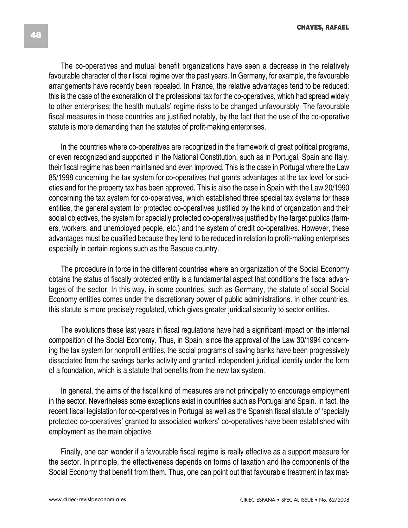The co-operatives and mutual benefit organizations have seen a decrease in the relatively favourable character of their fiscal regime over the past years. In Germany, for example, the favourable arrangements have recently been repealed. In France, the relative advantages tend to be reduced: this is the case of the exoneration of the professional tax for the co-operatives, which had spread widely to other enterprises; the health mutuals' regime risks to be changed unfavourably. The favourable fiscal measures in these countries are justified notably, by the fact that the use of the co-operative statute is more demanding than the statutes of profit-making enterprises.

In the countries where co-operatives are recognized in the framework of great political programs, or even recognized and supported in the National Constitution, such as in Portugal, Spain and Italy, their fiscal regime has been maintained and even improved. This is the case in Portugal where the Law 85/1998 concerning the tax system for co-operatives that grants advantages at the tax level for societies and for the property tax has been approved. This is also the case in Spain with the Law 20/1990 concerning the tax system for co-operatives, which established three special tax systems for these entities, the general system for protected co-operatives justified by the kind of organization and their social objectives, the system for specially protected co-operatives justified by the target publics (farmers, workers, and unemployed people, etc.) and the system of credit co-operatives. However, these advantages must be qualified because they tend to be reduced in relation to profit-making enterprises especially in certain regions such as the Basque country.

The procedure in force in the different countries where an organization of the Social Economy obtains the status of fiscally protected entity is a fundamental aspect that conditions the fiscal advantages of the sector. In this way, in some countries, such as Germany, the statute of social Social Economy entities comes under the discretionary power of public administrations. In other countries, this statute is more precisely regulated, which gives greater juridical security to sector entities.

The evolutions these last years in fiscal regulations have had a significant impact on the internal composition of the Social Economy. Thus, in Spain, since the approval of the Law 30/1994 concerning the tax system for nonprofit entities, the social programs of saving banks have been progressively dissociated from the savings banks activity and granted independent juridical identity under the form of a foundation, which is a statute that benefits from the new tax system.

In general, the aims of the fiscal kind of measures are not principally to encourage employment in the sector. Nevertheless some exceptions exist in countries such as Portugal and Spain. In fact, the recent fiscal legislation for co-operatives in Portugal as well as the Spanish fiscal statute of 'specially protected co-operatives' granted to associated workers' co-operatives have been established with employment as the main objective.

Finally, one can wonder if a favourable fiscal regime is really effective as a support measure for the sector. In principle, the effectiveness depends on forms of taxation and the components of the Social Economy that benefit from them. Thus, one can point out that favourable treatment in tax mat-

www.ciriec-revistaeconomia.es CIRIEC-ESPAÑA • SPECIAL ISSUE • No. 62/2008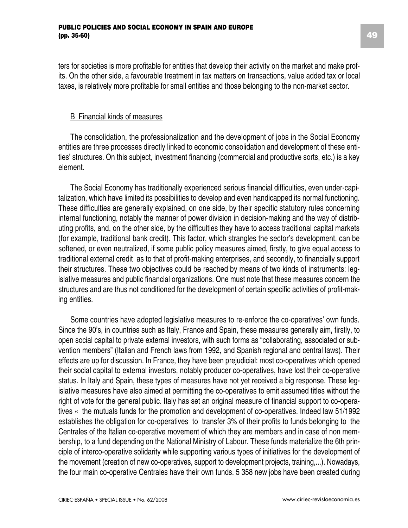ters for societies is more profitable for entities that develop their activity on the market and make profits. On the other side, a favourable treatment in tax matters on transactions, value added tax or local taxes, is relatively more profitable for small entities and those belonging to the non-market sector.

#### B Financial kinds of measures

The consolidation, the professionalization and the development of jobs in the Social Economy entities are three processes directly linked to economic consolidation and development of these entities' structures. On this subject, investment financing (commercial and productive sorts, etc.) is a key element.

The Social Economy has traditionally experienced serious financial difficulties, even under-capitalization, which have limited its possibilities to develop and even handicapped its normal functioning. These difficulties are generally explained, on one side, by their specific statutory rules concerning internal functioning, notably the manner of power division in decision-making and the way of distributing profits, and, on the other side, by the difficulties they have to access traditional capital markets (for example, traditional bank credit). This factor, which strangles the sector's development, can be softened, or even neutralized, if some public policy measures aimed, firstly, to give equal access to traditional external credit as to that of profit-making enterprises, and secondly, to financially support their structures. These two objectives could be reached by means of two kinds of instruments: legislative measures and public financial organizations. One must note that these measures concern the structures and are thus not conditioned for the development of certain specific activities of profit-making entities.

Some countries have adopted legislative measures to re-enforce the co-operatives' own funds. Since the 90's, in countries such as Italy, France and Spain, these measures generally aim, firstly, to open social capital to private external investors, with such forms as "collaborating, associated or subvention members" (Italian and French laws from 1992, and Spanish regional and central laws). Their effects are up for discussion. In France, they have been prejudicial: most co-operatives which opened their social capital to external investors, notably producer co-operatives, have lost their co-operative status. In Italy and Spain, these types of measures have not yet received a big response. These legislative measures have also aimed at permitting the co-operatives to emit assumed titles without the right of vote for the general public. Italy has set an original measure of financial support to co-operatives « the mutuals funds for the promotion and development of co-operatives. Indeed law 51/1992 establishes the obligation for co-operatives to transfer 3% of their profits to funds belonging to the Centrales of the Italian co-operative movement of which they are members and in case of non membership, to a fund depending on the National Ministry of Labour. These funds materialize the 6th principle of interco-operative solidarity while supporting various types of initiatives for the development of the movement (creation of new co-operatives, support to development projects, training,...). Nowadays, the four main co-operative Centrales have their own funds. 5 358 new jobs have been created during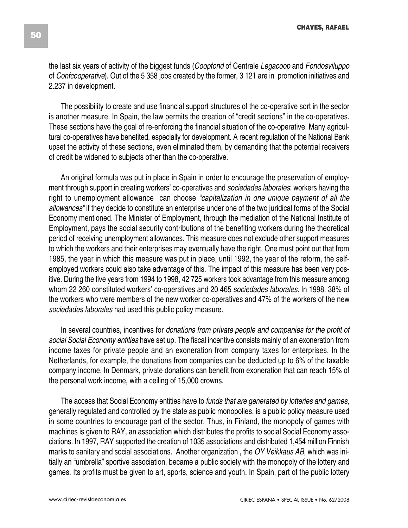the last six years of activity of the biggest funds (*Coopfond* of Centrale *Legacoop* and *Fondosviluppo* of *Confcooperative*). Out of the 5 358 jobs created by the former, 3 121 are in promotion initiatives and 2.237 in development.

The possibility to create and use financial support structures of the co-operative sort in the sector is another measure. In Spain, the law permits the creation of "credit sections" in the co-operatives. These sections have the goal of re-enforcing the financial situation of the co-operative. Many agricultural co-operatives have benefited, especially for development. A recent regulation of the National Bank upset the activity of these sections, even eliminated them, by demanding that the potential receivers of credit be widened to subjects other than the co-operative.

An original formula was put in place in Spain in order to encourage the preservation of employment through support in creating workers' co-operatives and *sociedades laborales*: workers having the right to unemployment allowance can choose *"capitalization in one unique payment of all the allowances"* if they decide to constitute an enterprise under one of the two juridical forms of the Social Economy mentioned. The Minister of Employment, through the mediation of the National Institute of Employment, pays the social security contributions of the benefiting workers during the theoretical period of receiving unemployment allowances. This measure does not exclude other support measures to which the workers and their enterprises may eventually have the right. One must point out that from 1985, the year in which this measure was put in place, until 1992, the year of the reform, the selfemployed workers could also take advantage of this. The impact of this measure has been very positive. During the five years from 1994 to 1998, 42 725 workers took advantage from this measure among whom 22 260 constituted workers' co-operatives and 20 465 *sociedades laborales.* In 1998, 38% of the workers who were members of the new worker co-operatives and 47% of the workers of the new *sociedades laborales* had used this public policy measure.

In several countries, incentives for *donations from private people and companies for the profit of social Social Economy entities* have set up. The fiscal incentive consists mainly of an exoneration from income taxes for private people and an exoneration from company taxes for enterprises. In the Netherlands, for example, the donations from companies can be deducted up to 6% of the taxable company income. In Denmark, private donations can benefit from exoneration that can reach 15% of the personal work income, with a ceiling of 15,000 crowns.

The access that Social Economy entities have to *funds that are generated by lotteries and games,* generally regulated and controlled by the state as public monopolies, is a public policy measure used in some countries to encourage part of the sector. Thus, in Finland, the monopoly of games with machines is given to RAY, an association which distributes the profits to social Social Economy associations. In 1997, RAY supported the creation of 1035 associations and distributed 1,454 million Finnish marks to sanitary and social associations. Another organization , the *OY Veikkaus AB*, which was initially an "umbrella" sportive association, became a public society with the monopoly of the lottery and games. Its profits must be given to art, sports, science and youth. In Spain, part of the public lottery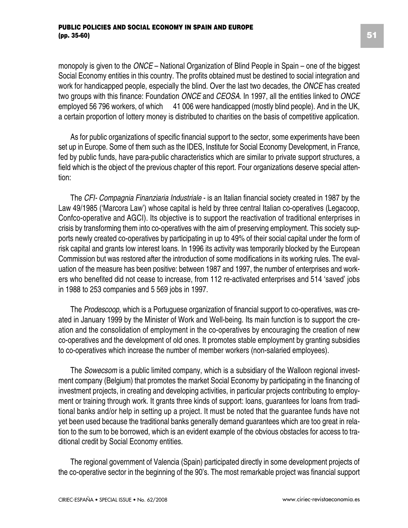monopoly is given to the *ONCE* – National Organization of Blind People in Spain – one of the biggest Social Economy entities in this country. The profits obtained must be destined to social integration and work for handicapped people, especially the blind. Over the last two decades, the *ONCE* has created two groups with this finance: Foundation *ONCE* and *CEOSA*. In 1997, all the entities linked to *ONCE* employed 56 796 workers, of which 41 006 were handicapped (mostly blind people). And in the UK, a certain proportion of lottery money is distributed to charities on the basis of competitive application.

As for public organizations of specific financial support to the sector, some experiments have been set up in Europe. Some of them such as the IDES, Institute for Social Economy Development, in France, fed by public funds, have para-public characteristics which are similar to private support structures, a field which is the object of the previous chapter of this report. Four organizations deserve special attention:

The *CFI- Compagnia Finanziaria Industriale* - is an Italian financial society created in 1987 by the Law 49/1985 ('Marcora Law') whose capital is held by three central Italian co-operatives (Legacoop, Confco-operative and AGCI). Its objective is to support the reactivation of traditional enterprises in crisis by transforming them into co-operatives with the aim of preserving employment. This society supports newly created co-operatives by participating in up to 49% of their social capital under the form of risk capital and grants low interest loans. In 1996 its activity was temporarily blocked by the European Commission but was restored after the introduction of some modifications in its working rules. The evaluation of the measure has been positive: between 1987 and 1997, the number of enterprises and workers who benefited did not cease to increase, from 112 re-activated enterprises and 514 'saved' jobs in 1988 to 253 companies and 5 569 jobs in 1997.

The *Prodescoop,* which is a Portuguese organization of financial support to co-operatives, was created in January 1999 by the Minister of Work and Well-being. Its main function is to support the creation and the consolidation of employment in the co-operatives by encouraging the creation of new co-operatives and the development of old ones. It promotes stable employment by granting subsidies to co-operatives which increase the number of member workers (non-salaried employees).

The *Sowecsom* is a public limited company, which is a subsidiary of the Walloon regional investment company (Belgium) that promotes the market Social Economy by participating in the financing of investment projects, in creating and developing activities, in particular projects contributing to employment or training through work. It grants three kinds of support: loans, guarantees for loans from traditional banks and/or help in setting up a project. It must be noted that the guarantee funds have not yet been used because the traditional banks generally demand guarantees which are too great in relation to the sum to be borrowed, which is an evident example of the obvious obstacles for access to traditional credit by Social Economy entities.

The regional government of Valencia (Spain) participated directly in some development projects of the co-operative sector in the beginning of the 90's. The most remarkable project was financial support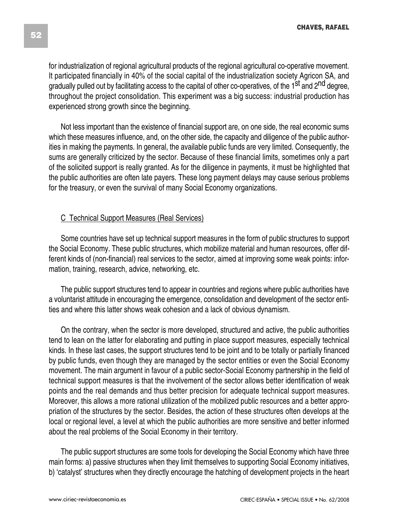for industrialization of regional agricultural products of the regional agricultural co-operative movement. It participated financially in 40% of the social capital of the industrialization society Agricon SA, and gradually pulled out by facilitating access to the capital of other co-operatives, of the 1<sup>st</sup> and 2<sup>nd</sup> degree. throughout the project consolidation. This experiment was a big success: industrial production has experienced strong growth since the beginning.

Not less important than the existence of financial support are, on one side, the real economic sums which these measures influence, and, on the other side, the capacity and diligence of the public authorities in making the payments. In general, the available public funds are very limited. Consequently, the sums are generally criticized by the sector. Because of these financial limits, sometimes only a part of the solicited support is really granted. As for the diligence in payments, it must be highlighted that the public authorities are often late payers. These long payment delays may cause serious problems for the treasury, or even the survival of many Social Economy organizations.

#### C Technical Support Measures (Real Services)

Some countries have set up technical support measures in the form of public structures to support the Social Economy. These public structures, which mobilize material and human resources, offer different kinds of (non-financial) real services to the sector, aimed at improving some weak points: information, training, research, advice, networking, etc.

The public support structures tend to appear in countries and regions where public authorities have a voluntarist attitude in encouraging the emergence, consolidation and development of the sector entities and where this latter shows weak cohesion and a lack of obvious dynamism.

On the contrary, when the sector is more developed, structured and active, the public authorities tend to lean on the latter for elaborating and putting in place support measures, especially technical kinds. In these last cases, the support structures tend to be joint and to be totally or partially financed by public funds, even though they are managed by the sector entities or even the Social Economy movement. The main argument in favour of a public sector-Social Economy partnership in the field of technical support measures is that the involvement of the sector allows better identification of weak points and the real demands and thus better precision for adequate technical support measures. Moreover, this allows a more rational utilization of the mobilized public resources and a better appropriation of the structures by the sector. Besides, the action of these structures often develops at the local or regional level, a level at which the public authorities are more sensitive and better informed about the real problems of the Social Economy in their territory.

The public support structures are some tools for developing the Social Economy which have three main forms: a) passive structures when they limit themselves to supporting Social Economy initiatives, b) 'catalyst' structures when they directly encourage the hatching of development projects in the heart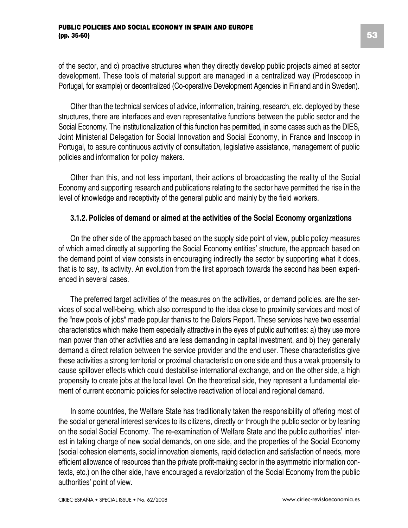of the sector, and c) proactive structures when they directly develop public projects aimed at sector development. These tools of material support are managed in a centralized way (Prodescoop in Portugal, for example) or decentralized (Co-operative Development Agencies in Finland and in Sweden).

Other than the technical services of advice, information, training, research, etc. deployed by these structures, there are interfaces and even representative functions between the public sector and the Social Economy. The institutionalization of this function has permitted, in some cases such as the DIES, Joint Ministerial Delegation for Social Innovation and Social Economy, in France and Inscoop in Portugal, to assure continuous activity of consultation, legislative assistance, management of public policies and information for policy makers.

Other than this, and not less important, their actions of broadcasting the reality of the Social Economy and supporting research and publications relating to the sector have permitted the rise in the level of knowledge and receptivity of the general public and mainly by the field workers.

#### **3.1.2. Policies of demand or aimed at the activities of the Social Economy organizations**

On the other side of the approach based on the supply side point of view, public policy measures of which aimed directly at supporting the Social Economy entities' structure, the approach based on the demand point of view consists in encouraging indirectly the sector by supporting what it does, that is to say, its activity. An evolution from the first approach towards the second has been experienced in several cases.

The preferred target activities of the measures on the activities, or demand policies, are the services of social well-being, which also correspond to the idea close to proximity services and most of the "new pools of jobs" made popular thanks to the Delors Report. These services have two essential characteristics which make them especially attractive in the eyes of public authorities: a) they use more man power than other activities and are less demanding in capital investment, and b) they generally demand a direct relation between the service provider and the end user. These characteristics give these activities a strong territorial or proximal characteristic on one side and thus a weak propensity to cause spillover effects which could destabilise international exchange, and on the other side, a high propensity to create jobs at the local level. On the theoretical side, they represent a fundamental element of current economic policies for selective reactivation of local and regional demand.

In some countries, the Welfare State has traditionally taken the responsibility of offering most of the social or general interest services to its citizens, directly or through the public sector or by leaning on the social Social Economy. The re-examination of Welfare State and the public authorities' interest in taking charge of new social demands, on one side, and the properties of the Social Economy (social cohesion elements, social innovation elements, rapid detection and satisfaction of needs, more efficient allowance of resources than the private profit-making sector in the asymmetric information contexts, etc.) on the other side, have encouraged a revalorization of the Social Economy from the public authorities' point of view.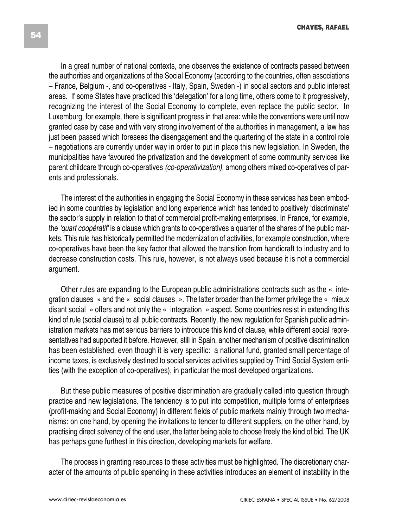In a great number of national contexts, one observes the existence of contracts passed between the authorities and organizations of the Social Economy (according to the countries, often associations – France, Belgium -, and co-operatives - Italy, Spain, Sweden -) in social sectors and public interest areas. If some States have practiced this 'delegation' for a long time, others come to it progressively, recognizing the interest of the Social Economy to complete, even replace the public sector. In Luxemburg, for example, there is significant progress in that area: while the conventions were until now granted case by case and with very strong involvement of the authorities in management, a law has just been passed which foresees the disengagement and the quartering of the state in a control role – negotiations are currently under way in order to put in place this new legislation. In Sweden, the municipalities have favoured the privatization and the development of some community services like parent childcare through co-operatives *(co-operativization),* among others mixed co-operatives of parents and professionals.

The interest of the authorities in engaging the Social Economy in these services has been embodied in some countries by legislation and long experience which has tended to positively 'discriminate' the sector's supply in relation to that of commercial profit-making enterprises. In France, for example, the *'quart coopératif'* is a clause which grants to co-operatives a quarter of the shares of the public markets. This rule has historically permitted the modernization of activities, for example construction, where co-operatives have been the key factor that allowed the transition from handicraft to industry and to decrease construction costs. This rule, however, is not always used because it is not a commercial argument.

Other rules are expanding to the European public administrations contracts such as the « integration clauses » and the « social clauses ». The latter broader than the former privilege the « mieux disant social » offers and not only the « integration » aspect. Some countries resist in extending this kind of rule (social clause) to all public contracts. Recently, the new regulation for Spanish public administration markets has met serious barriers to introduce this kind of clause, while different social representatives had supported it before. However, still in Spain, another mechanism of positive discrimination has been established, even though it is very specific: a national fund, granted small percentage of income taxes, is exclusively destined to social services activities supplied by Third Social System entities (with the exception of co-operatives), in particular the most developed organizations.

But these public measures of positive discrimination are gradually called into question through practice and new legislations. The tendency is to put into competition, multiple forms of enterprises (profit-making and Social Economy) in different fields of public markets mainly through two mechanisms: on one hand, by opening the invitations to tender to different suppliers, on the other hand, by practising direct solvency of the end user, the latter being able to choose freely the kind of bid. The UK has perhaps gone furthest in this direction, developing markets for welfare.

The process in granting resources to these activities must be highlighted. The discretionary character of the amounts of public spending in these activities introduces an element of instability in the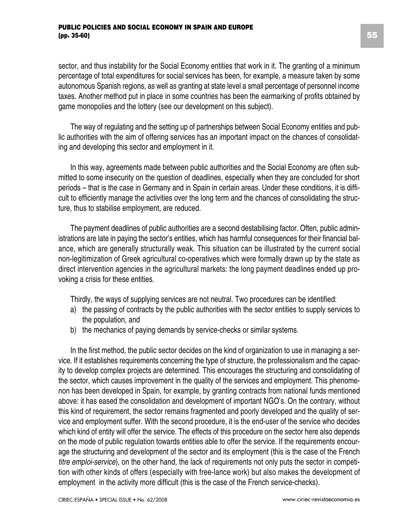sector, and thus instability for the Social Economy entities that work in it. The granting of a minimum percentage of total expenditures for social services has been, for example, a measure taken by some autonomous Spanish regions, as well as granting at state level a small percentage of personnel income taxes. Another method put in place in some countries has been the earmarking of profits obtained by game monopolies and the lottery (see our development on this subject).

The way of regulating and the setting up of partnerships between Social Economy entities and public authorities with the aim of offering services has an important impact on the chances of consolidating and developing this sector and employment in it.

In this way, agreements made between public authorities and the Social Economy are often submitted to some insecurity on the question of deadlines, especially when they are concluded for short periods – that is the case in Germany and in Spain in certain areas. Under these conditions, it is difficult to efficiently manage the activities over the long term and the chances of consolidating the structure, thus to stabilise employment, are reduced.

The payment deadlines of public authorities are a second destabilising factor. Often, public administrations are late in paying the sector's entities, which has harmful consequences for their financial balance, which are generally structurally weak. This situation can be illustrated by the current social non-legitimization of Greek agricultural co-operatives which were formally drawn up by the state as direct intervention agencies in the agricultural markets: the long payment deadlines ended up provoking a crisis for these entities.

Thirdly, the ways of supplying services are not neutral. Two procedures can be identified:

- a) the passing of contracts by the public authorities with the sector entities to supply services to the population, and
- b) the mechanics of paying demands by service-checks or similar systems.

In the first method, the public sector decides on the kind of organization to use in managing a service. If it establishes requirements concerning the type of structure, the professionalism and the capacity to develop complex projects are determined. This encourages the structuring and consolidating of the sector, which causes improvement in the quality of the services and employment. This phenomenon has been developed in Spain, for example, by granting contracts from national funds mentioned above: it has eased the consolidation and development of important NGO's. On the contrary, without this kind of requirement, the sector remains fragmented and poorly developed and the quality of service and employment suffer. With the second procedure, it is the end-user of the service who decides which kind of entity will offer the service. The effects of this procedure on the sector here also depends on the mode of public regulation towards entities able to offer the service. If the requirements encourage the structuring and development of the sector and its employment (this is the case of the French *titre emploi-service*), on the other hand, the lack of requirements not only puts the sector in competition with other kinds of offers (especially with free-lance work) but also makes the development of employment in the activity more difficult (this is the case of the French service-checks).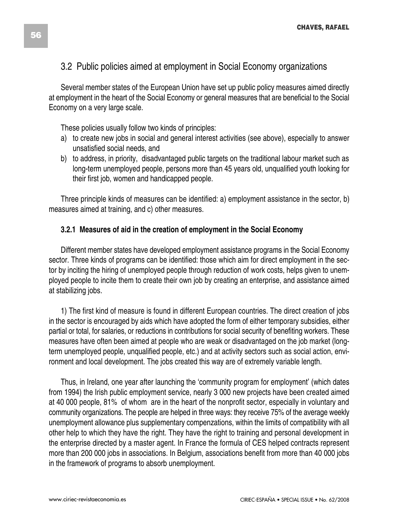### 3.2 Public policies aimed at employment in Social Economy organizations

Several member states of the European Union have set up public policy measures aimed directly at employment in the heart of the Social Economy or general measures that are beneficial to the Social Economy on a very large scale.

These policies usually follow two kinds of principles:

- a) to create new jobs in social and general interest activities (see above), especially to answer unsatisfied social needs, and
- b) to address, in priority, disadvantaged public targets on the traditional labour market such as long-term unemployed people, persons more than 45 years old, unqualified youth looking for their first job, women and handicapped people.

Three principle kinds of measures can be identified: a) employment assistance in the sector, b) measures aimed at training, and c) other measures.

#### **3.2.1 Measures of aid in the creation of employment in the Social Economy**

Different member states have developed employment assistance programs in the Social Economy sector. Three kinds of programs can be identified: those which aim for direct employment in the sector by inciting the hiring of unemployed people through reduction of work costs, helps given to unemployed people to incite them to create their own job by creating an enterprise, and assistance aimed at stabilizing jobs.

1) The first kind of measure is found in different European countries. The direct creation of jobs in the sector is encouraged by aids which have adopted the form of either temporary subsidies, either partial or total, for salaries, or reductions in contributions for social security of benefiting workers. These measures have often been aimed at people who are weak or disadvantaged on the job market (longterm unemployed people, unqualified people, etc.) and at activity sectors such as social action, environment and local development. The jobs created this way are of extremely variable length.

Thus, in Ireland, one year after launching the 'community program for employment' (which dates from 1994) the Irish public employment service, nearly 3 000 new projects have been created aimed at 40 000 people, 81% of whom are in the heart of the nonprofit sector, especially in voluntary and community organizations. The people are helped in three ways: they receive 75% of the average weekly unemployment allowance plus supplementary compenzations, within the limits of compatibility with all other help to which they have the right. They have the right to training and personal development in the enterprise directed by a master agent. In France the formula of CES helped contracts represent more than 200 000 jobs in associations. In Belgium, associations benefit from more than 40 000 jobs in the framework of programs to absorb unemployment.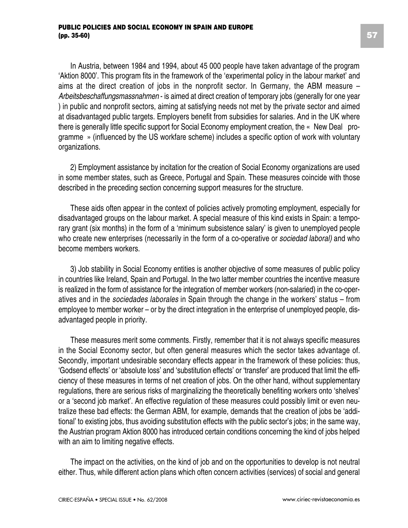In Austria, between 1984 and 1994, about 45 000 people have taken advantage of the program 'Aktion 8000'. This program fits in the framework of the 'experimental policy in the labour market' and aims at the direct creation of jobs in the nonprofit sector. In Germany, the ABM measure – *Arbeitsbeschaffungsmassnahmen* - is aimed at direct creation of temporary jobs (generally for one year ) in public and nonprofit sectors, aiming at satisfying needs not met by the private sector and aimed at disadvantaged public targets. Employers benefit from subsidies for salaries. And in the UK where there is generally little specific support for Social Economy employment creation, the « New Deal programme » (influenced by the US workfare scheme) includes a specific option of work with voluntary organizations.

2) Employment assistance by incitation for the creation of Social Economy organizations are used in some member states, such as Greece, Portugal and Spain. These measures coincide with those described in the preceding section concerning support measures for the structure.

These aids often appear in the context of policies actively promoting employment, especially for disadvantaged groups on the labour market. A special measure of this kind exists in Spain: a temporary grant (six months) in the form of a 'minimum subsistence salary' is given to unemployed people who create new enterprises (necessarily in the form of a co-operative or *sociedad laboral)* and who become members workers.

3) Job stability in Social Economy entities is another objective of some measures of public policy in countries like Ireland, Spain and Portugal. In the two latter member countries the incentive measure is realized in the form of assistance for the integration of member workers (non-salaried) in the co-operatives and in the *sociedades laborales* in Spain through the change in the workers' status – from employee to member worker – or by the direct integration in the enterprise of unemployed people, disadvantaged people in priority.

These measures merit some comments. Firstly, remember that it is not always specific measures in the Social Economy sector, but often general measures which the sector takes advantage of. Secondly, important undesirable secondary effects appear in the framework of these policies: thus, 'Godsend effects' or 'absolute loss' and 'substitution effects' or 'transfer' are produced that limit the efficiency of these measures in terms of net creation of jobs. On the other hand, without supplementary regulations, there are serious risks of marginalizing the theoretically benefiting workers onto 'shelves' or a 'second job market'. An effective regulation of these measures could possibly limit or even neutralize these bad effects: the German ABM, for example, demands that the creation of jobs be 'additional' to existing jobs, thus avoiding substitution effects with the public sector's jobs; in the same way, the Austrian program Aktion 8000 has introduced certain conditions concerning the kind of jobs helped with an aim to limiting negative effects.

The impact on the activities, on the kind of job and on the opportunities to develop is not neutral either. Thus, while different action plans which often concern activities (services) of social and general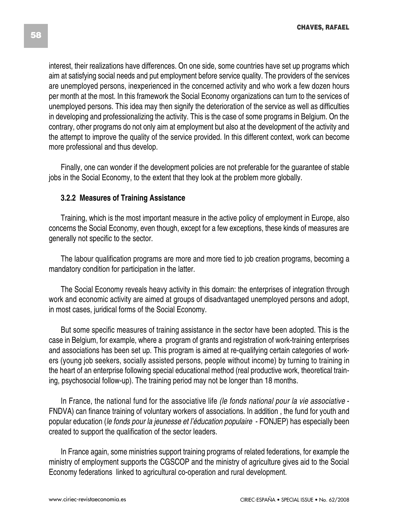interest, their realizations have differences. On one side, some countries have set up programs which aim at satisfying social needs and put employment before service quality. The providers of the services are unemployed persons, inexperienced in the concerned activity and who work a few dozen hours per month at the most. In this framework the Social Economy organizations can turn to the services of unemployed persons. This idea may then signify the deterioration of the service as well as difficulties in developing and professionalizing the activity. This is the case of some programs in Belgium. On the contrary, other programs do not only aim at employment but also at the development of the activity and the attempt to improve the quality of the service provided. In this different context, work can become more professional and thus develop.

Finally, one can wonder if the development policies are not preferable for the guarantee of stable jobs in the Social Economy, to the extent that they look at the problem more globally.

#### **3.2.2 Measures of Training Assistance**

Training, which is the most important measure in the active policy of employment in Europe, also concerns the Social Economy, even though, except for a few exceptions, these kinds of measures are generally not specific to the sector.

The labour qualification programs are more and more tied to job creation programs, becoming a mandatory condition for participation in the latter.

The Social Economy reveals heavy activity in this domain: the enterprises of integration through work and economic activity are aimed at groups of disadvantaged unemployed persons and adopt, in most cases, juridical forms of the Social Economy.

But some specific measures of training assistance in the sector have been adopted. This is the case in Belgium, for example, where a program of grants and registration of work-training enterprises and associations has been set up. This program is aimed at re-qualifying certain categories of workers (young job seekers, socially assisted persons, people without income) by turning to training in the heart of an enterprise following special educational method (real productive work, theoretical training, psychosocial follow-up). The training period may not be longer than 18 months.

In France, the national fund for the associative life *(le fonds national pour la vie associative* - FNDVA) can finance training of voluntary workers of associations. In addition , the fund for youth and popular education (*le fonds pour la jeunesse et l'éducation populaire* - FONJEP) has especially been created to support the qualification of the sector leaders.

In France again, some ministries support training programs of related federations, for example the ministry of employment supports the CGSCOP and the ministry of agriculture gives aid to the Social Economy federations linked to agricultural co-operation and rural development.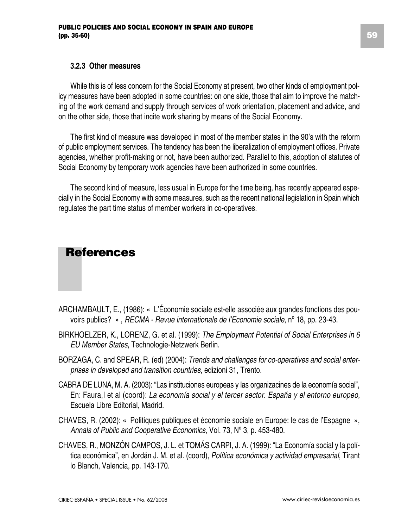#### **3.2.3 Other measures**

While this is of less concern for the Social Economy at present, two other kinds of employment policy measures have been adopted in some countries: on one side, those that aim to improve the matching of the work demand and supply through services of work orientation, placement and advice, and on the other side, those that incite work sharing by means of the Social Economy.

The first kind of measure was developed in most of the member states in the 90's with the reform of public employment services. The tendency has been the liberalization of employment offices. Private agencies, whether profit-making or not, have been authorized. Parallel to this, adoption of statutes of Social Economy by temporary work agencies have been authorized in some countries.

The second kind of measure, less usual in Europe for the time being, has recently appeared especially in the Social Economy with some measures, such as the recent national legislation in Spain which regulates the part time status of member workers in co-operatives.

### **References**

- ARCHAMBAULT, E., (1986): « L'Économie sociale est-elle associée aux grandes fonctions des pouvoirs publics? » , *RECMA - Revue internationale de l'Economie sociale*, nº 18, pp. 23-43.
- BIRKHOELZER, K., LORENZ, G. et al. (1999): *The Employment Potential of Social Enterprises in 6 EU Member States*, Technologie-Netzwerk Berlin.
- BORZAGA, C. and SPEAR, R. (ed) (2004): *Trends and challenges for co-operatives and social enterprises in developed and transition countries*, edizioni 31, Trento.
- CABRA DE LUNA, M. A. (2003): "Las instituciones europeas y las organizacines de la economía social", En: Faura,I et al (coord): *La economía social y el tercer sector. España y el entorno europeo,* Escuela Libre Editorial, Madrid.
- CHAVES, R. (2002): « Politiques publiques et économie sociale en Europe: le cas de l'Espagne », *Annals of Public and Cooperative Economics*, Vol. 73, Nº 3, p. 453-480.
- CHAVES, R., MONZÓN CAMPOS, J. L. et TOMÁS CARPI, J. A. (1999): "La Economía social y la política económica", en Jordán J. M. et al. (coord), *Política económica y actividad empresarial*, Tirant lo Blanch, Valencia, pp. 143-170.